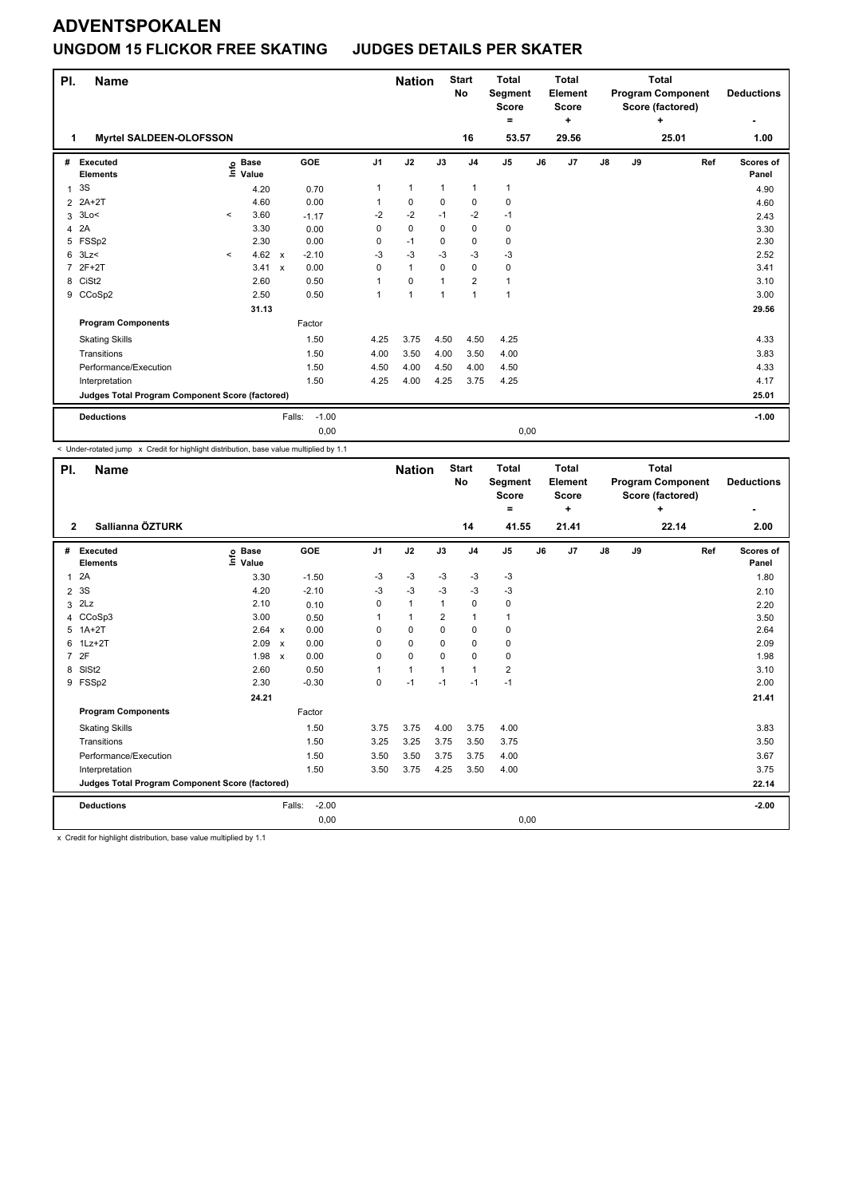## **UNGDOM 15 FLICKOR FREE SKATING JUDGES DETAILS PER SKATER**

| PI.            | <b>Name</b>                                     |         |                                  |                           |                   |                | <b>Nation</b>        |                | <b>Start</b><br><b>No</b> | <b>Total</b><br>Segment<br><b>Score</b><br>= |    | <b>Total</b><br>Element<br><b>Score</b><br>٠ |               |    | <b>Total</b><br><b>Program Component</b><br>Score (factored)<br>٠ |     | <b>Deductions</b><br>٠ |
|----------------|-------------------------------------------------|---------|----------------------------------|---------------------------|-------------------|----------------|----------------------|----------------|---------------------------|----------------------------------------------|----|----------------------------------------------|---------------|----|-------------------------------------------------------------------|-----|------------------------|
| 1              | Myrtel SALDEEN-OLOFSSON                         |         |                                  |                           |                   |                |                      |                | 16                        | 53.57                                        |    | 29.56                                        |               |    | 25.01                                                             |     | 1.00                   |
| #              | Executed<br><b>Elements</b>                     |         | <b>Base</b><br>e Base<br>⊑ Value |                           | GOE               | J <sub>1</sub> | J2                   | J3             | J <sub>4</sub>            | J5                                           | J6 | J <sub>7</sub>                               | $\mathsf{J}8$ | J9 |                                                                   | Ref | Scores of<br>Panel     |
| $\mathbf{1}$   | 3S                                              |         | 4.20                             |                           | 0.70              | 1              | $\mathbf{1}$         | $\mathbf{1}$   | 1                         | 1                                            |    |                                              |               |    |                                                                   |     | 4.90                   |
| $\overline{2}$ | $2A+2T$                                         |         | 4.60                             |                           | 0.00              |                | $\mathbf 0$          | 0              | $\mathbf 0$               | $\mathbf 0$                                  |    |                                              |               |    |                                                                   |     | 4.60                   |
| 3              | 3Lo<                                            | $\prec$ | 3.60                             |                           | $-1.17$           | $-2$           | $-2$                 | $-1$           | $-2$                      | $-1$                                         |    |                                              |               |    |                                                                   |     | 2.43                   |
| 4              | 2A                                              |         | 3.30                             |                           | 0.00              | 0              | $\pmb{0}$            | 0              | $\pmb{0}$                 | 0                                            |    |                                              |               |    |                                                                   |     | 3.30                   |
| 5              | FSSp2                                           |         | 2.30                             |                           | 0.00              | 0              | $-1$                 | 0              | 0                         | $\mathbf 0$                                  |    |                                              |               |    |                                                                   |     | 2.30                   |
| 6              | 3Lz                                             | $\prec$ | 4.62                             | $\boldsymbol{\mathsf{x}}$ | $-2.10$           | $-3$           | $-3$                 | $-3$           | $-3$                      | $-3$                                         |    |                                              |               |    |                                                                   |     | 2.52                   |
| 7              | $2F+2T$                                         |         | 3.41                             | $\boldsymbol{\mathsf{x}}$ | 0.00              | 0              | $\mathbf{1}$         | $\mathbf 0$    | $\mathbf 0$               | 0                                            |    |                                              |               |    |                                                                   |     | 3.41                   |
|                | 8 CiSt2                                         |         | 2.60                             |                           | 0.50              |                | $\mathbf 0$          | $\overline{1}$ | $\overline{2}$            | 1                                            |    |                                              |               |    |                                                                   |     | 3.10                   |
|                | 9 CCoSp2                                        |         | 2.50                             |                           | 0.50              |                | $\blacktriangleleft$ | $\mathbf{1}$   | $\mathbf{1}$              | $\mathbf{1}$                                 |    |                                              |               |    |                                                                   |     | 3.00                   |
|                |                                                 |         | 31.13                            |                           |                   |                |                      |                |                           |                                              |    |                                              |               |    |                                                                   |     | 29.56                  |
|                | <b>Program Components</b>                       |         |                                  |                           | Factor            |                |                      |                |                           |                                              |    |                                              |               |    |                                                                   |     |                        |
|                | <b>Skating Skills</b>                           |         |                                  |                           | 1.50              | 4.25           | 3.75                 | 4.50           | 4.50                      | 4.25                                         |    |                                              |               |    |                                                                   |     | 4.33                   |
|                | Transitions                                     |         |                                  |                           | 1.50              | 4.00           | 3.50                 | 4.00           | 3.50                      | 4.00                                         |    |                                              |               |    |                                                                   |     | 3.83                   |
|                | Performance/Execution                           |         |                                  |                           | 1.50              | 4.50           | 4.00                 | 4.50           | 4.00                      | 4.50                                         |    |                                              |               |    |                                                                   |     | 4.33                   |
|                | Interpretation                                  |         |                                  |                           | 1.50              | 4.25           | 4.00                 | 4.25           | 3.75                      | 4.25                                         |    |                                              |               |    |                                                                   |     | 4.17                   |
|                | Judges Total Program Component Score (factored) |         |                                  |                           |                   |                |                      |                |                           |                                              |    |                                              |               |    |                                                                   |     | 25.01                  |
|                | <b>Deductions</b>                               |         |                                  |                           | $-1.00$<br>Falls: |                |                      |                |                           |                                              |    |                                              |               |    |                                                                   |     | $-1.00$                |
|                |                                                 |         |                                  |                           | 0,00              |                |                      |                |                           | 0,00                                         |    |                                              |               |    |                                                                   |     |                        |

< Under-rotated jump x Credit for highlight distribution, base value multiplied by 1.1

| PI.            | <b>Name</b>                                     |                              |                                   | <b>Nation</b>  |              | <b>Start</b><br>No | <b>Total</b><br>Segment<br><b>Score</b><br>= |                         | <b>Total</b><br>Element<br>Score<br>٠ |       |               | <b>Total</b><br><b>Program Component</b><br>Score (factored)<br>٠ |       | <b>Deductions</b> |                    |
|----------------|-------------------------------------------------|------------------------------|-----------------------------------|----------------|--------------|--------------------|----------------------------------------------|-------------------------|---------------------------------------|-------|---------------|-------------------------------------------------------------------|-------|-------------------|--------------------|
| $\overline{2}$ | Sallianna ÖZTURK                                |                              |                                   |                |              |                    | 14                                           | 41.55                   |                                       | 21.41 |               |                                                                   | 22.14 |                   | 2.00               |
| #              | Executed<br><b>Elements</b>                     | <b>Base</b><br>١nf٥<br>Value | <b>GOE</b>                        | J <sub>1</sub> | J2           | J3                 | J <sub>4</sub>                               | J5                      | J6                                    | J7    | $\mathsf{J}8$ | J9                                                                |       | Ref               | Scores of<br>Panel |
| 1              | 2A                                              | 3.30                         | $-1.50$                           | -3             | -3           | -3                 | $-3$                                         | $-3$                    |                                       |       |               |                                                                   |       |                   | 1.80               |
| $\overline{2}$ | 3S                                              | 4.20                         | $-2.10$                           | -3             | $-3$         | $-3$               | -3                                           | $-3$                    |                                       |       |               |                                                                   |       |                   | 2.10               |
|                | $3$ 2Lz                                         | 2.10                         | 0.10                              | 0              | $\mathbf{1}$ | 1                  | 0                                            | 0                       |                                       |       |               |                                                                   |       |                   | 2.20               |
|                | 4 CCoSp3                                        | 3.00                         | 0.50                              |                | $\mathbf{1}$ | 2                  | $\mathbf{1}$                                 | $\mathbf{1}$            |                                       |       |               |                                                                   |       |                   | 3.50               |
| 5              | $1A+2T$                                         | 2.64 x                       | 0.00                              | 0              | 0            | 0                  | 0                                            | 0                       |                                       |       |               |                                                                   |       |                   | 2.64               |
| 6              | $1Lz + 2T$                                      | 2.09                         | 0.00<br>$\boldsymbol{\mathsf{x}}$ | 0              | $\mathbf 0$  | 0                  | $\mathbf 0$                                  | 0                       |                                       |       |               |                                                                   |       |                   | 2.09               |
|                | 7 2F                                            | 1.98                         | 0.00<br>$\mathsf{x}$              | $\Omega$       | 0            | $\Omega$           | 0                                            | 0                       |                                       |       |               |                                                                   |       |                   | 1.98               |
| 8              | SISt <sub>2</sub>                               | 2.60                         | 0.50                              |                | $\mathbf{1}$ | 1                  | $\mathbf{1}$                                 | $\overline{\mathbf{c}}$ |                                       |       |               |                                                                   |       |                   | 3.10               |
|                | 9 FSSp2                                         | 2.30                         | $-0.30$                           | 0              | $-1$         | $-1$               | $-1$                                         | $-1$                    |                                       |       |               |                                                                   |       |                   | 2.00               |
|                |                                                 | 24.21                        |                                   |                |              |                    |                                              |                         |                                       |       |               |                                                                   |       |                   | 21.41              |
|                | <b>Program Components</b>                       |                              | Factor                            |                |              |                    |                                              |                         |                                       |       |               |                                                                   |       |                   |                    |
|                | <b>Skating Skills</b>                           |                              | 1.50                              | 3.75           | 3.75         | 4.00               | 3.75                                         | 4.00                    |                                       |       |               |                                                                   |       |                   | 3.83               |
|                | Transitions                                     |                              | 1.50                              | 3.25           | 3.25         | 3.75               | 3.50                                         | 3.75                    |                                       |       |               |                                                                   |       |                   | 3.50               |
|                | Performance/Execution                           |                              | 1.50                              | 3.50           | 3.50         | 3.75               | 3.75                                         | 4.00                    |                                       |       |               |                                                                   |       |                   | 3.67               |
|                | Interpretation                                  |                              | 1.50                              | 3.50           | 3.75         | 4.25               | 3.50                                         | 4.00                    |                                       |       |               |                                                                   |       |                   | 3.75               |
|                | Judges Total Program Component Score (factored) |                              |                                   |                |              |                    |                                              |                         |                                       |       |               |                                                                   |       |                   | 22.14              |
|                | <b>Deductions</b>                               |                              | $-2.00$<br>Falls:                 |                |              |                    |                                              |                         |                                       |       |               |                                                                   |       |                   | $-2.00$            |
|                |                                                 |                              | 0,00                              |                |              |                    |                                              | 0,00                    |                                       |       |               |                                                                   |       |                   |                    |

x Credit for highlight distribution, base value multiplied by 1.1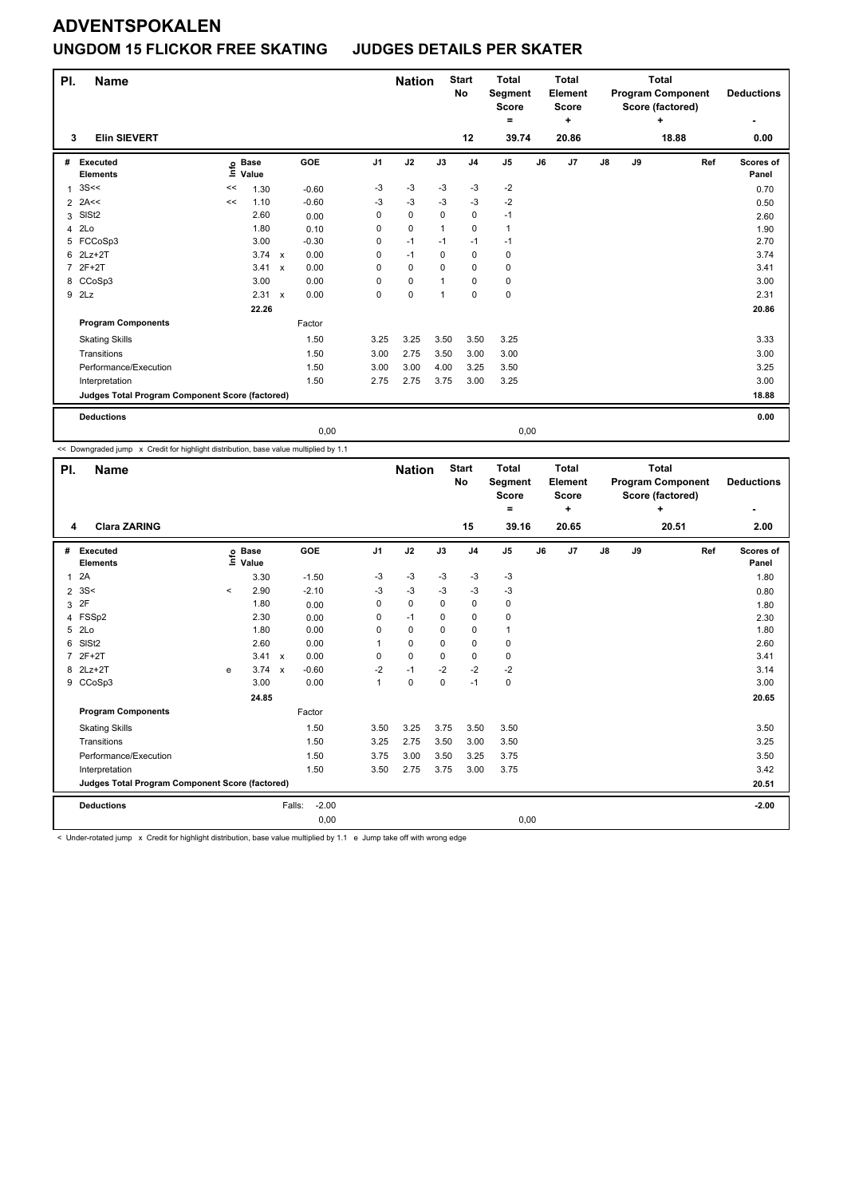## **ADVENTSPOKALEN UNGDOM 15 FLICKOR FREE SKATING JUDGES DETAILS PER SKATER**

| PI.            | <b>Name</b>                                     |      |               |              |         |                | <b>Nation</b> |                | <b>Start</b><br><b>No</b> | <b>Total</b><br>Segment<br><b>Score</b> |    | <b>Total</b><br><b>Element</b><br><b>Score</b> |               |    | <b>Total</b><br><b>Program Component</b><br>Score (factored) |     | <b>Deductions</b> |
|----------------|-------------------------------------------------|------|---------------|--------------|---------|----------------|---------------|----------------|---------------------------|-----------------------------------------|----|------------------------------------------------|---------------|----|--------------------------------------------------------------|-----|-------------------|
|                |                                                 |      |               |              |         |                |               |                |                           | ۰                                       |    | ٠                                              |               |    | ÷                                                            |     | ٠                 |
| 3              | <b>Elin SIEVERT</b>                             |      |               |              |         |                |               |                | 12                        | 39.74                                   |    | 20.86                                          |               |    | 18.88                                                        |     | 0.00              |
| #              | <b>Executed</b>                                 | ١nf٥ | <b>Base</b>   |              | GOE     | J <sub>1</sub> | J2            | J3             | J <sub>4</sub>            | J <sub>5</sub>                          | J6 | J7                                             | $\mathsf{J}8$ | J9 |                                                              | Ref | Scores of         |
|                | <b>Elements</b>                                 |      | Value         |              |         |                |               |                |                           |                                         |    |                                                |               |    |                                                              |     | Panel             |
| 1              | 3S<<                                            | <<   | 1.30          |              | $-0.60$ | -3             | $-3$          | $-3$           | $-3$                      | $-2$                                    |    |                                                |               |    |                                                              |     | 0.70              |
|                | $2$ 2A<<                                        | <<   | 1.10          |              | $-0.60$ | -3             | $-3$          | -3             | $-3$                      | $-2$                                    |    |                                                |               |    |                                                              |     | 0.50              |
| 3              | SISt <sub>2</sub>                               |      | 2.60          |              | 0.00    | 0              | $\mathbf 0$   | $\Omega$       | 0                         | $-1$                                    |    |                                                |               |    |                                                              |     | 2.60              |
| 4              | 2Lo                                             |      | 1.80          |              | 0.10    | 0              | $\mathbf 0$   | $\overline{1}$ | $\mathbf 0$               | $\mathbf{1}$                            |    |                                                |               |    |                                                              |     | 1.90              |
|                | 5 FCCoSp3                                       |      | 3.00          |              | $-0.30$ | 0              | $-1$          | $-1$           | $-1$                      | $-1$                                    |    |                                                |               |    |                                                              |     | 2.70              |
| 6              | $2Lz+2T$                                        |      | $3.74 \times$ |              | 0.00    | 0              | $-1$          | 0              | $\mathbf 0$               | 0                                       |    |                                                |               |    |                                                              |     | 3.74              |
| $\overline{7}$ | $2F+2T$                                         |      | 3.41          | $\mathsf{x}$ | 0.00    | 0              | $\mathbf 0$   | $\Omega$       | $\mathbf 0$               | 0                                       |    |                                                |               |    |                                                              |     | 3.41              |
|                | 8 CCoSp3                                        |      | 3.00          |              | 0.00    | 0              | $\mathbf 0$   | $\mathbf{1}$   | $\mathbf 0$               | $\mathbf 0$                             |    |                                                |               |    |                                                              |     | 3.00              |
|                | 9 2Lz                                           |      | 2.31          | $\mathsf{x}$ | 0.00    | 0              | $\pmb{0}$     | $\mathbf{1}$   | $\pmb{0}$                 | $\pmb{0}$                               |    |                                                |               |    |                                                              |     | 2.31              |
|                |                                                 |      | 22.26         |              |         |                |               |                |                           |                                         |    |                                                |               |    |                                                              |     | 20.86             |
|                | <b>Program Components</b>                       |      |               |              | Factor  |                |               |                |                           |                                         |    |                                                |               |    |                                                              |     |                   |
|                | <b>Skating Skills</b>                           |      |               |              | 1.50    | 3.25           | 3.25          | 3.50           | 3.50                      | 3.25                                    |    |                                                |               |    |                                                              |     | 3.33              |
|                | Transitions                                     |      |               |              | 1.50    | 3.00           | 2.75          | 3.50           | 3.00                      | 3.00                                    |    |                                                |               |    |                                                              |     | 3.00              |
|                | Performance/Execution                           |      |               |              | 1.50    | 3.00           | 3.00          | 4.00           | 3.25                      | 3.50                                    |    |                                                |               |    |                                                              |     | 3.25              |
|                | Interpretation                                  |      |               |              | 1.50    | 2.75           | 2.75          | 3.75           | 3.00                      | 3.25                                    |    |                                                |               |    |                                                              |     | 3.00              |
|                | Judges Total Program Component Score (factored) |      |               |              |         |                |               |                |                           |                                         |    |                                                |               |    |                                                              |     | 18.88             |
|                | <b>Deductions</b>                               |      |               |              |         |                |               |                |                           |                                         |    |                                                |               |    |                                                              |     | 0.00              |
|                |                                                 |      |               |              | 0,00    |                |               |                |                           | 0,00                                    |    |                                                |               |    |                                                              |     |                   |

<< Downgraded jump x Credit for highlight distribution, base value multiplied by 1.1

| PI.          | <b>Name</b>                                     |         |                      | <b>Nation</b>     |                | <b>Start</b><br><b>No</b> | <b>Total</b><br>Segment<br><b>Score</b><br>= |                | <b>Total</b><br>Element<br><b>Score</b><br>÷ |    |       | <b>Total</b><br><b>Program Component</b><br>Score (factored)<br>$\ddot{}$ |    | <b>Deductions</b> |     |                    |
|--------------|-------------------------------------------------|---------|----------------------|-------------------|----------------|---------------------------|----------------------------------------------|----------------|----------------------------------------------|----|-------|---------------------------------------------------------------------------|----|-------------------|-----|--------------------|
| 4            | <b>Clara ZARING</b>                             |         |                      |                   |                |                           |                                              | 15             | 39.16                                        |    | 20.65 |                                                                           |    | 20.51             |     | 2.00               |
| #            | Executed<br><b>Elements</b>                     | ١nf٥    | <b>Base</b><br>Value | GOE               | J <sub>1</sub> | J2                        | J3                                           | J <sub>4</sub> | J5                                           | J6 | J7    | $\mathsf{J}8$                                                             | J9 |                   | Ref | Scores of<br>Panel |
| $\mathbf{1}$ | 2A                                              |         | 3.30                 | $-1.50$           | -3             | $-3$                      | -3                                           | $-3$           | -3                                           |    |       |                                                                           |    |                   |     | 1.80               |
|              | 2.3S<                                           | $\prec$ | 2.90                 | $-2.10$           | $-3$           | $-3$                      | $-3$                                         | $-3$           | $-3$                                         |    |       |                                                                           |    |                   |     | 0.80               |
| 3            | 2F                                              |         | 1.80                 | 0.00              | 0              | $\mathbf 0$               | 0                                            | $\mathbf 0$    | 0                                            |    |       |                                                                           |    |                   |     | 1.80               |
| 4            | FSSp2                                           |         | 2.30                 | 0.00              | 0              | $-1$                      | 0                                            | $\pmb{0}$      | 0                                            |    |       |                                                                           |    |                   |     | 2.30               |
| 5            | 2Lo                                             |         | 1.80                 | 0.00              | $\Omega$       | 0                         | $\Omega$                                     | $\mathbf 0$    | $\mathbf{1}$                                 |    |       |                                                                           |    |                   |     | 1.80               |
| 6            | SISt <sub>2</sub>                               |         | 2.60                 | 0.00              |                | 0                         | $\Omega$                                     | $\pmb{0}$      | 0                                            |    |       |                                                                           |    |                   |     | 2.60               |
|              | $2F+2T$                                         |         | 3.41 x               | 0.00              | $\Omega$       | $\mathbf 0$               | $\Omega$                                     | $\mathbf 0$    | 0                                            |    |       |                                                                           |    |                   |     | 3.41               |
|              | 8 2Lz+2T                                        | e       | 3.74 x               | $-0.60$           | $-2$           | $-1$                      | $-2$                                         | $-2$           | $-2$                                         |    |       |                                                                           |    |                   |     | 3.14               |
|              | 9 CCoSp3                                        |         | 3.00                 | 0.00              | $\mathbf{1}$   | $\Omega$                  | $\mathbf{0}$                                 | $-1$           | $\pmb{0}$                                    |    |       |                                                                           |    |                   |     | 3.00               |
|              |                                                 |         | 24.85                |                   |                |                           |                                              |                |                                              |    |       |                                                                           |    |                   |     | 20.65              |
|              | <b>Program Components</b>                       |         |                      | Factor            |                |                           |                                              |                |                                              |    |       |                                                                           |    |                   |     |                    |
|              | <b>Skating Skills</b>                           |         |                      | 1.50              | 3.50           | 3.25                      | 3.75                                         | 3.50           | 3.50                                         |    |       |                                                                           |    |                   |     | 3.50               |
|              | Transitions                                     |         |                      | 1.50              | 3.25           | 2.75                      | 3.50                                         | 3.00           | 3.50                                         |    |       |                                                                           |    |                   |     | 3.25               |
|              | Performance/Execution                           |         |                      | 1.50              | 3.75           | 3.00                      | 3.50                                         | 3.25           | 3.75                                         |    |       |                                                                           |    |                   |     | 3.50               |
|              | Interpretation                                  |         |                      | 1.50              | 3.50           | 2.75                      | 3.75                                         | 3.00           | 3.75                                         |    |       |                                                                           |    |                   |     | 3.42               |
|              | Judges Total Program Component Score (factored) |         |                      |                   |                |                           |                                              |                |                                              |    |       |                                                                           |    |                   |     | 20.51              |
|              | <b>Deductions</b>                               |         |                      | $-2.00$<br>Falls: |                |                           |                                              |                |                                              |    |       |                                                                           |    |                   |     | $-2.00$            |
|              |                                                 |         |                      | 0,00              |                |                           |                                              |                | 0,00                                         |    |       |                                                                           |    |                   |     |                    |

< Under-rotated jump x Credit for highlight distribution, base value multiplied by 1.1 e Jump take off with wrong edge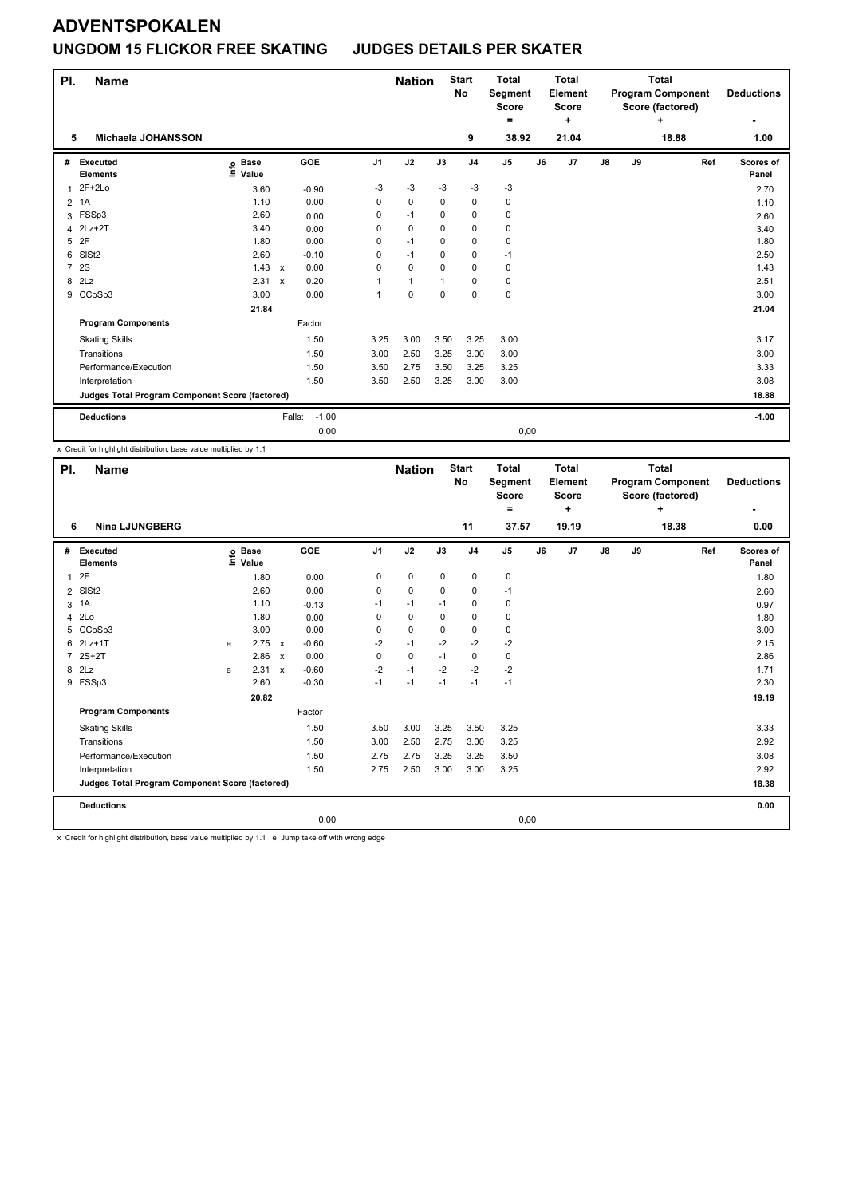## **UNGDOM 15 FLICKOR FREE SKATING JUDGES DETAILS PER SKATER**

| PI.            | <b>Name</b>                                     |                                  |                           |                   |                | <b>Nation</b> |             | <b>Start</b><br>No | <b>Total</b><br><b>Segment</b><br>Score<br>۰ |    | <b>Total</b><br><b>Element</b><br><b>Score</b><br>÷ |    |    | <b>Total</b><br><b>Program Component</b><br>Score (factored)<br>+ |     | <b>Deductions</b><br>٠ |
|----------------|-------------------------------------------------|----------------------------------|---------------------------|-------------------|----------------|---------------|-------------|--------------------|----------------------------------------------|----|-----------------------------------------------------|----|----|-------------------------------------------------------------------|-----|------------------------|
| 5              | Michaela JOHANSSON                              |                                  |                           |                   |                |               |             | 9                  | 38.92                                        |    | 21.04                                               |    |    | 18.88                                                             |     | 1.00                   |
| #              | Executed<br><b>Elements</b>                     | <b>Base</b><br>e Base<br>⊑ Value |                           | GOE               | J <sub>1</sub> | J2            | J3          | J <sub>4</sub>     | J <sub>5</sub>                               | J6 | J7                                                  | J8 | J9 |                                                                   | Ref | Scores of<br>Panel     |
| 1              | $2F+2Lo$                                        | 3.60                             |                           | $-0.90$           | $-3$           | $-3$          | $-3$        | $-3$               | $-3$                                         |    |                                                     |    |    |                                                                   |     | 2.70                   |
| $\overline{2}$ | 1A                                              | 1.10                             |                           | 0.00              | 0              | $\mathbf 0$   | $\mathbf 0$ | $\mathbf 0$        | 0                                            |    |                                                     |    |    |                                                                   |     | 1.10                   |
| 3              | FSSp3                                           | 2.60                             |                           | 0.00              | 0              | $-1$          | $\Omega$    | $\mathbf 0$        | $\mathbf 0$                                  |    |                                                     |    |    |                                                                   |     | 2.60                   |
| 4              | $2Lz+2T$                                        | 3.40                             |                           | 0.00              | 0              | 0             | 0           | 0                  | 0                                            |    |                                                     |    |    |                                                                   |     | 3.40                   |
| 5              | 2F                                              | 1.80                             |                           | 0.00              | 0              | $-1$          | 0           | $\mathbf 0$        | 0                                            |    |                                                     |    |    |                                                                   |     | 1.80                   |
| 6              | SIS <sub>t2</sub>                               | 2.60                             |                           | $-0.10$           | $\Omega$       | $-1$          | 0           | $\mathbf 0$        | $-1$                                         |    |                                                     |    |    |                                                                   |     | 2.50                   |
| $\overline{7}$ | 2S                                              | 1.43                             | $\mathsf{x}$              | 0.00              | $\mathbf 0$    | $\mathbf 0$   | 0           | $\mathbf 0$        | $\mathbf 0$                                  |    |                                                     |    |    |                                                                   |     | 1.43                   |
| 8              | 2Lz                                             | 2.31                             | $\boldsymbol{\mathsf{x}}$ | 0.20              | 1              | $\mathbf{1}$  |             | 0                  | 0                                            |    |                                                     |    |    |                                                                   |     | 2.51                   |
| 9              | CCoSp3                                          | 3.00                             |                           | 0.00              | 1              | $\mathbf 0$   | $\Omega$    | $\mathbf 0$        | $\mathbf 0$                                  |    |                                                     |    |    |                                                                   |     | 3.00                   |
|                |                                                 | 21.84                            |                           |                   |                |               |             |                    |                                              |    |                                                     |    |    |                                                                   |     | 21.04                  |
|                | <b>Program Components</b>                       |                                  |                           | Factor            |                |               |             |                    |                                              |    |                                                     |    |    |                                                                   |     |                        |
|                | <b>Skating Skills</b>                           |                                  |                           | 1.50              | 3.25           | 3.00          | 3.50        | 3.25               | 3.00                                         |    |                                                     |    |    |                                                                   |     | 3.17                   |
|                | Transitions                                     |                                  |                           | 1.50              | 3.00           | 2.50          | 3.25        | 3.00               | 3.00                                         |    |                                                     |    |    |                                                                   |     | 3.00                   |
|                | Performance/Execution                           |                                  |                           | 1.50              | 3.50           | 2.75          | 3.50        | 3.25               | 3.25                                         |    |                                                     |    |    |                                                                   |     | 3.33                   |
|                | Interpretation                                  |                                  |                           | 1.50              | 3.50           | 2.50          | 3.25        | 3.00               | 3.00                                         |    |                                                     |    |    |                                                                   |     | 3.08                   |
|                | Judges Total Program Component Score (factored) |                                  |                           |                   |                |               |             |                    |                                              |    |                                                     |    |    |                                                                   |     | 18.88                  |
|                | <b>Deductions</b>                               |                                  |                           | $-1.00$<br>Falls: |                |               |             |                    |                                              |    |                                                     |    |    |                                                                   |     | $-1.00$                |
|                |                                                 |                                  |                           | 0,00              |                |               |             |                    | 0,00                                         |    |                                                     |    |    |                                                                   |     |                        |

x Credit for highlight distribution, base value multiplied by 1.1

| PI.            | <b>Name</b>                                              |    |                      |         |                                            | <b>Nation</b> |             | <b>Start</b><br>No | <b>Total</b><br>Segment<br><b>Score</b><br>٠ |    | <b>Total</b><br>Element<br><b>Score</b><br>÷ |               |    | <b>Total</b><br><b>Program Component</b><br>Score (factored)<br>÷ | <b>Deductions</b>  |
|----------------|----------------------------------------------------------|----|----------------------|---------|--------------------------------------------|---------------|-------------|--------------------|----------------------------------------------|----|----------------------------------------------|---------------|----|-------------------------------------------------------------------|--------------------|
| 6              | <b>Nina LJUNGBERG</b>                                    |    |                      |         |                                            |               |             | 11                 | 37.57                                        |    | 19.19                                        |               |    | 18.38                                                             | 0.00               |
|                | # Executed<br><b>Elements</b>                            | ۴۵ | <b>Base</b><br>Value | GOE     | J <sub>1</sub>                             | J2            | J3          | J <sub>4</sub>     | J <sub>5</sub>                               | J6 | J7                                           | $\mathsf{J}8$ | J9 | Ref                                                               | Scores of<br>Panel |
| $\mathbf{1}$   | 2F                                                       |    | 1.80                 | 0.00    | 0                                          | 0             | 0           | $\mathbf 0$        | 0                                            |    |                                              |               |    |                                                                   | 1.80               |
| $\overline{2}$ | SIS <sub>t2</sub>                                        |    | 2.60                 | 0.00    | 0                                          | 0             | 0           | 0                  | $-1$                                         |    |                                              |               |    |                                                                   | 2.60               |
|                | 3 1A                                                     |    | 1.10                 | $-0.13$ | $-1$                                       | $-1$          | $-1$        | $\mathbf 0$        | 0                                            |    |                                              |               |    |                                                                   | 0.97               |
|                | 4 2Lo                                                    |    | 1.80                 | 0.00    | $\Omega$                                   | 0             | 0           | 0                  | 0                                            |    |                                              |               |    |                                                                   | 1.80               |
|                | 5 CCoSp3                                                 |    | 3.00                 | 0.00    | 0                                          | 0             | $\mathbf 0$ | $\mathbf 0$        | 0                                            |    |                                              |               |    |                                                                   | 3.00               |
| 6              | $2Lz+1T$                                                 | e  | 2.75 x               | $-0.60$ | $-2$                                       | $-1$          | $-2$        | $-2$               | $-2$                                         |    |                                              |               |    |                                                                   | 2.15               |
|                | 7 2S+2T                                                  |    | 2.86 x               | 0.00    | 0                                          | 0             | $-1$        | 0                  | 0                                            |    |                                              |               |    |                                                                   | 2.86               |
|                | 8 2Lz                                                    | e  | 2.31 x               | $-0.60$ | $-2$                                       | $-1$          | $-2$        | $-2$               | $-2$                                         |    |                                              |               |    |                                                                   | 1.71               |
|                | 9 FSSp3                                                  |    | 2.60                 | $-0.30$ | $-1$                                       | $-1$          | $-1$        | $-1$               | $-1$                                         |    |                                              |               |    |                                                                   | 2.30               |
|                |                                                          |    | 20.82                |         |                                            |               |             |                    |                                              |    |                                              |               |    |                                                                   | 19.19              |
|                | <b>Program Components</b>                                |    |                      | Factor  |                                            |               |             |                    |                                              |    |                                              |               |    |                                                                   |                    |
|                | <b>Skating Skills</b>                                    |    |                      | 1.50    | 3.50                                       | 3.00          | 3.25        | 3.50               | 3.25                                         |    |                                              |               |    |                                                                   | 3.33               |
|                | Transitions                                              |    |                      | 1.50    | 3.00                                       | 2.50          | 2.75        | 3.00               | 3.25                                         |    |                                              |               |    |                                                                   | 2.92               |
|                | Performance/Execution                                    |    |                      | 1.50    | 2.75                                       | 2.75          | 3.25        | 3.25               | 3.50                                         |    |                                              |               |    |                                                                   | 3.08               |
|                | Interpretation                                           |    |                      | 1.50    | 2.75                                       | 2.50          | 3.00        | 3.00               | 3.25                                         |    |                                              |               |    |                                                                   | 2.92               |
|                | Judges Total Program Component Score (factored)          |    |                      |         |                                            |               |             |                    |                                              |    |                                              |               |    |                                                                   | 18.38              |
|                | <b>Deductions</b>                                        |    |                      |         |                                            |               |             |                    |                                              |    |                                              |               |    |                                                                   | 0.00               |
|                |                                                          |    |                      | 0,00    |                                            |               |             |                    | 0,00                                         |    |                                              |               |    |                                                                   |                    |
|                | a metropologica e control de la controlada de la control |    |                      |         | <b>Contract Contract Contract Contract</b> |               |             |                    |                                              |    |                                              |               |    |                                                                   |                    |

x Credit for highlight distribution, base value multiplied by 1.1 e Jump take off with wrong edge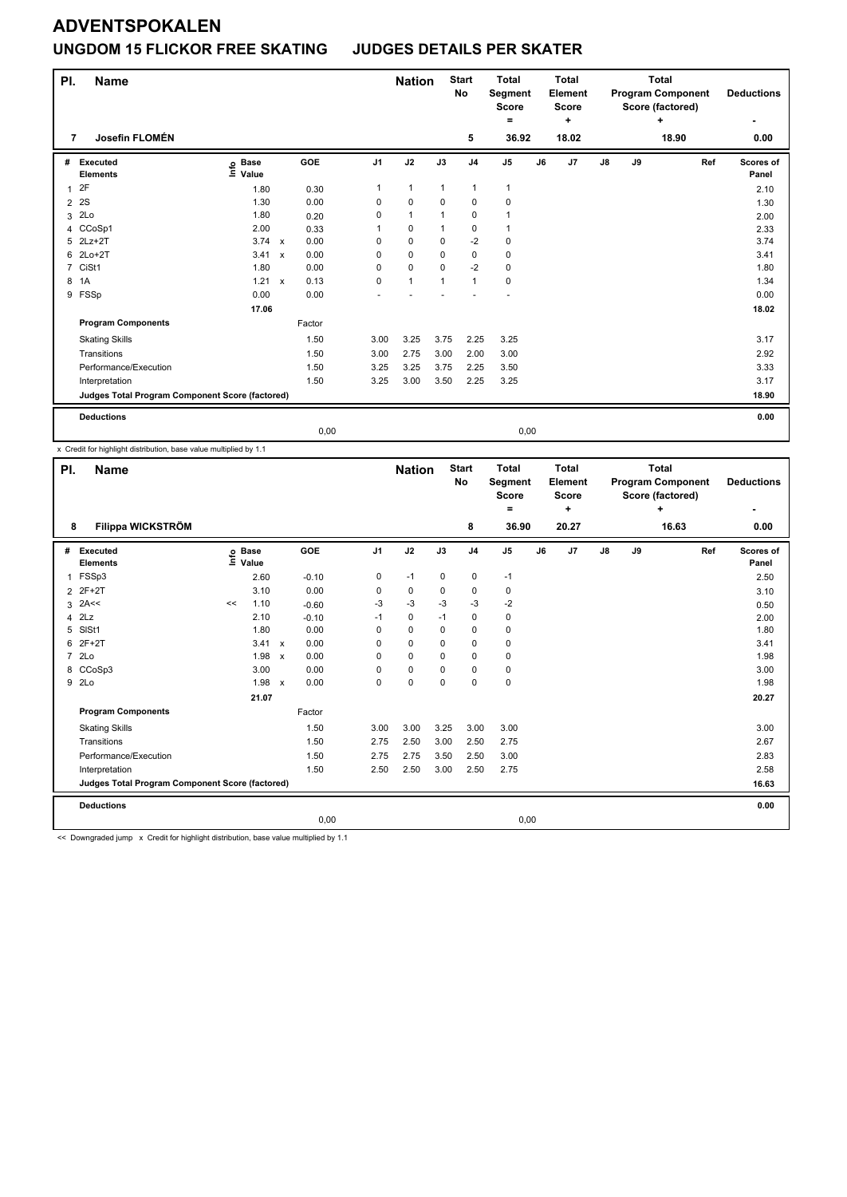## **ADVENTSPOKALEN UNGDOM 15 FLICKOR FREE SKATING JUDGES DETAILS PER SKATER**

| PI.            | <b>Name</b>                                     |                   |                           |        |                | <b>Nation</b> |              | <b>Start</b><br><b>No</b> | <b>Total</b><br>Segment<br><b>Score</b> |    | <b>Total</b><br>Element<br><b>Score</b> |               |    | <b>Total</b><br><b>Program Component</b><br>Score (factored) |     | <b>Deductions</b> |
|----------------|-------------------------------------------------|-------------------|---------------------------|--------|----------------|---------------|--------------|---------------------------|-----------------------------------------|----|-----------------------------------------|---------------|----|--------------------------------------------------------------|-----|-------------------|
|                |                                                 |                   |                           |        |                |               |              |                           | =                                       |    | ÷                                       |               |    | ÷                                                            |     | ٠                 |
| 7              | Josefin FLOMÉN                                  |                   |                           |        |                |               |              | 5                         | 36.92                                   |    | 18.02                                   |               |    | 18.90                                                        |     | 0.00              |
| #              | Executed                                        | <b>Base</b>       |                           | GOE    | J <sub>1</sub> | J2            | J3           | J <sub>4</sub>            | J <sub>5</sub>                          | J6 | J7                                      | $\mathsf{J}8$ | J9 |                                                              | Ref | Scores of         |
|                | <b>Elements</b>                                 | e Base<br>⊑ Value |                           |        |                |               |              |                           |                                         |    |                                         |               |    |                                                              |     | Panel             |
|                | 2F                                              | 1.80              |                           | 0.30   | 1              | $\mathbf{1}$  | $\mathbf{1}$ | $\mathbf{1}$              | $\mathbf{1}$                            |    |                                         |               |    |                                                              |     | 2.10              |
| $\overline{2}$ | 2S                                              | 1.30              |                           | 0.00   | 0              | $\pmb{0}$     | $\mathbf 0$  | $\pmb{0}$                 | 0                                       |    |                                         |               |    |                                                              |     | 1.30              |
| 3              | 2Lo                                             | 1.80              |                           | 0.20   | 0              | $\mathbf{1}$  | $\mathbf{1}$ | $\pmb{0}$                 | 1                                       |    |                                         |               |    |                                                              |     | 2.00              |
| 4              | CCoSp1                                          | 2.00              |                           | 0.33   |                | $\mathbf 0$   | 1            | 0                         | 1                                       |    |                                         |               |    |                                                              |     | 2.33              |
| 5              | $2Lz+2T$                                        | 3.74              | $\mathsf{x}$              | 0.00   | 0              | $\mathbf 0$   | $\mathbf 0$  | $-2$                      | $\mathbf 0$                             |    |                                         |               |    |                                                              |     | 3.74              |
| 6              | $2Lo+2T$                                        | 3.41              | $\boldsymbol{\mathsf{x}}$ | 0.00   | 0              | $\Omega$      | $\Omega$     | 0                         | 0                                       |    |                                         |               |    |                                                              |     | 3.41              |
| $\overline{7}$ | CiSt1                                           | 1.80              |                           | 0.00   | 0              | $\mathbf 0$   | $\Omega$     | $-2$                      | 0                                       |    |                                         |               |    |                                                              |     | 1.80              |
| 8              | 1A                                              | 1.21 x            |                           | 0.13   | 0              | $\mathbf{1}$  | $\mathbf{1}$ | $\mathbf{1}$              | $\mathbf 0$                             |    |                                         |               |    |                                                              |     | 1.34              |
| 9              | FSSp                                            | 0.00              |                           | 0.00   |                |               |              |                           |                                         |    |                                         |               |    |                                                              |     | 0.00              |
|                |                                                 | 17.06             |                           |        |                |               |              |                           |                                         |    |                                         |               |    |                                                              |     | 18.02             |
|                | <b>Program Components</b>                       |                   |                           | Factor |                |               |              |                           |                                         |    |                                         |               |    |                                                              |     |                   |
|                | <b>Skating Skills</b>                           |                   |                           | 1.50   | 3.00           | 3.25          | 3.75         | 2.25                      | 3.25                                    |    |                                         |               |    |                                                              |     | 3.17              |
|                | Transitions                                     |                   |                           | 1.50   | 3.00           | 2.75          | 3.00         | 2.00                      | 3.00                                    |    |                                         |               |    |                                                              |     | 2.92              |
|                | Performance/Execution                           |                   |                           | 1.50   | 3.25           | 3.25          | 3.75         | 2.25                      | 3.50                                    |    |                                         |               |    |                                                              |     | 3.33              |
|                | Interpretation                                  |                   |                           | 1.50   | 3.25           | 3.00          | 3.50         | 2.25                      | 3.25                                    |    |                                         |               |    |                                                              |     | 3.17              |
|                | Judges Total Program Component Score (factored) |                   |                           |        |                |               |              |                           |                                         |    |                                         |               |    |                                                              |     | 18.90             |
|                | <b>Deductions</b>                               |                   |                           |        |                |               |              |                           |                                         |    |                                         |               |    |                                                              |     | 0.00              |
|                |                                                 |                   |                           | 0,00   |                |               |              |                           | 0,00                                    |    |                                         |               |    |                                                              |     |                   |

x Credit for highlight distribution, base value multiplied by 1.1

| PI.            | Name                                                                                                           |    |                      |         | <b>Nation</b>  |          | <b>Start</b><br><b>No</b> | <b>Total</b><br>Segment<br><b>Score</b><br>۰ |               | <b>Total</b><br>Element<br><b>Score</b><br>÷ |       |               | <b>Total</b><br><b>Program Component</b><br>Score (factored)<br>٠ |       | <b>Deductions</b> |                           |
|----------------|----------------------------------------------------------------------------------------------------------------|----|----------------------|---------|----------------|----------|---------------------------|----------------------------------------------|---------------|----------------------------------------------|-------|---------------|-------------------------------------------------------------------|-------|-------------------|---------------------------|
| 8              | Filippa WICKSTRÖM                                                                                              |    |                      |         |                |          |                           | 8                                            | 36.90         |                                              | 20.27 |               |                                                                   | 16.63 |                   | 0.00                      |
| #              | <b>Executed</b><br><b>Elements</b>                                                                             | ۴  | <b>Base</b><br>Value | GOE     | J <sub>1</sub> | J2       | J3                        | J <sub>4</sub>                               | $\mathsf{J}5$ | J6                                           | J7    | $\mathsf{J}8$ | J9                                                                |       | Ref               | <b>Scores of</b><br>Panel |
| 1              | FSSp3                                                                                                          |    | 2.60                 | $-0.10$ | 0              | $-1$     | $\mathbf 0$               | $\mathbf 0$                                  | $-1$          |                                              |       |               |                                                                   |       |                   | 2.50                      |
| $\overline{2}$ | 2F+2T                                                                                                          |    | 3.10                 | 0.00    | 0              | 0        | 0                         | 0                                            | 0             |                                              |       |               |                                                                   |       |                   | 3.10                      |
| 3              | 2A<<                                                                                                           | << | 1.10                 | $-0.60$ | -3             | $-3$     | -3                        | $-3$                                         | $-2$          |                                              |       |               |                                                                   |       |                   | 0.50                      |
|                | $4$ $2Lz$                                                                                                      |    | 2.10                 | $-0.10$ | $-1$           | 0        | $-1$                      | $\mathbf 0$                                  | 0             |                                              |       |               |                                                                   |       |                   | 2.00                      |
| 5              | SISt1                                                                                                          |    | 1.80                 | 0.00    | 0              | 0        | 0                         | 0                                            | 0             |                                              |       |               |                                                                   |       |                   | 1.80                      |
| 6              | $2F+2T$                                                                                                        |    | $3.41 \times$        | 0.00    | 0              | $\Omega$ | $\Omega$                  | $\mathbf 0$                                  | 0             |                                              |       |               |                                                                   |       |                   | 3.41                      |
|                | 7 2Lo                                                                                                          |    | 1.98 x               | 0.00    | 0              | 0        | 0                         | $\mathbf 0$                                  | 0             |                                              |       |               |                                                                   |       |                   | 1.98                      |
|                | 8 CCoSp3                                                                                                       |    | 3.00                 | 0.00    | $\Omega$       | 0        | $\Omega$                  | $\mathbf 0$                                  | 0             |                                              |       |               |                                                                   |       |                   | 3.00                      |
|                | 9 2Lo                                                                                                          |    | 1.98 x               | 0.00    | 0              | 0        | $\Omega$                  | 0                                            | 0             |                                              |       |               |                                                                   |       |                   | 1.98                      |
|                |                                                                                                                |    | 21.07                |         |                |          |                           |                                              |               |                                              |       |               |                                                                   |       |                   | 20.27                     |
|                | <b>Program Components</b>                                                                                      |    |                      | Factor  |                |          |                           |                                              |               |                                              |       |               |                                                                   |       |                   |                           |
|                | <b>Skating Skills</b>                                                                                          |    |                      | 1.50    | 3.00           | 3.00     | 3.25                      | 3.00                                         | 3.00          |                                              |       |               |                                                                   |       |                   | 3.00                      |
|                | Transitions                                                                                                    |    |                      | 1.50    | 2.75           | 2.50     | 3.00                      | 2.50                                         | 2.75          |                                              |       |               |                                                                   |       |                   | 2.67                      |
|                | Performance/Execution                                                                                          |    |                      | 1.50    | 2.75           | 2.75     | 3.50                      | 2.50                                         | 3.00          |                                              |       |               |                                                                   |       |                   | 2.83                      |
|                | Interpretation                                                                                                 |    |                      | 1.50    | 2.50           | 2.50     | 3.00                      | 2.50                                         | 2.75          |                                              |       |               |                                                                   |       |                   | 2.58                      |
|                | Judges Total Program Component Score (factored)                                                                |    |                      |         |                |          |                           |                                              |               |                                              |       |               |                                                                   |       |                   | 16.63                     |
|                | <b>Deductions</b>                                                                                              |    |                      |         |                |          |                           |                                              |               |                                              |       |               |                                                                   |       |                   | 0.00                      |
|                |                                                                                                                |    |                      | 0,00    |                |          |                           |                                              | 0,00          |                                              |       |               |                                                                   |       |                   |                           |
|                | a a "Procedural de al Secolo" - com Procedia des los de la declaración de la componencia de contradición de la |    |                      |         |                |          |                           |                                              |               |                                              |       |               |                                                                   |       |                   |                           |

<< Downgraded jump x Credit for highlight distribution, base value multiplied by 1.1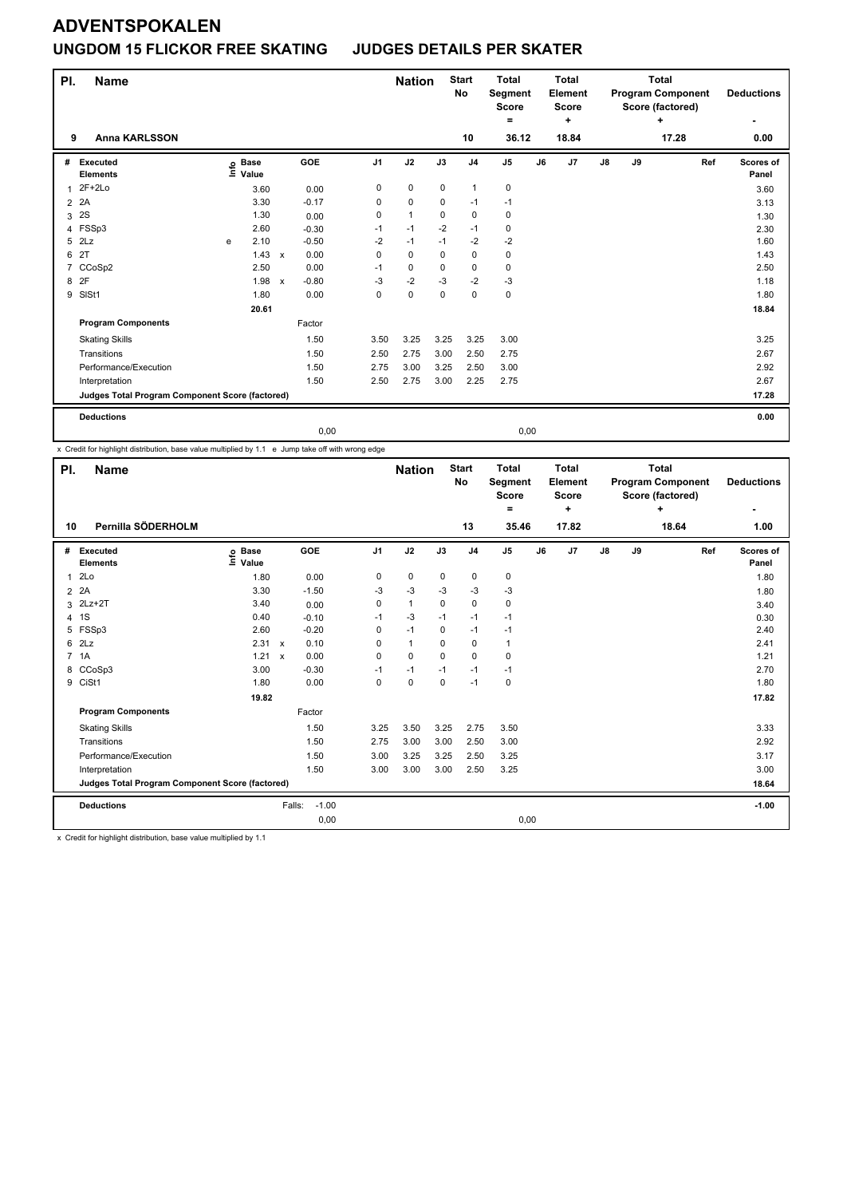## **ADVENTSPOKALEN UNGDOM 15 FLICKOR FREE SKATING JUDGES DETAILS PER SKATER**

| PI. | <b>Name</b>                                     |      |                      |                           |         |                | <b>Nation</b> |             | <b>Start</b><br>No | <b>Total</b><br>Segment<br><b>Score</b><br>۰ |    | <b>Total</b><br>Element<br><b>Score</b><br>÷ |               |    | <b>Total</b><br><b>Program Component</b><br>Score (factored)<br>÷ |     | <b>Deductions</b>  |
|-----|-------------------------------------------------|------|----------------------|---------------------------|---------|----------------|---------------|-------------|--------------------|----------------------------------------------|----|----------------------------------------------|---------------|----|-------------------------------------------------------------------|-----|--------------------|
| 9   | <b>Anna KARLSSON</b>                            |      |                      |                           |         |                |               |             | 10                 | 36.12                                        |    | 18.84                                        |               |    | 17.28                                                             |     | ۰<br>0.00          |
| #   | Executed<br><b>Elements</b>                     | lnfo | <b>Base</b><br>Value |                           | GOE     | J <sub>1</sub> | J2            | J3          | J <sub>4</sub>     | J <sub>5</sub>                               | J6 | J7                                           | $\mathsf{J}8$ | J9 |                                                                   | Ref | Scores of<br>Panel |
| 1   | $2F+2Lo$                                        |      | 3.60                 |                           | 0.00    | 0              | $\mathbf 0$   | $\mathbf 0$ | $\mathbf{1}$       | 0                                            |    |                                              |               |    |                                                                   |     | 3.60               |
| 2   | 2A                                              |      | 3.30                 |                           | $-0.17$ | 0              | $\mathbf 0$   | 0           | $-1$               | $-1$                                         |    |                                              |               |    |                                                                   |     | 3.13               |
| 3   | 2S                                              |      | 1.30                 |                           | 0.00    | 0              | $\mathbf{1}$  | 0           | $\mathbf 0$        | 0                                            |    |                                              |               |    |                                                                   |     | 1.30               |
| 4   | FSSp3                                           |      | 2.60                 |                           | $-0.30$ | $-1$           | $-1$          | $-2$        | $-1$               | $\mathbf 0$                                  |    |                                              |               |    |                                                                   |     | 2.30               |
| 5   | 2Lz                                             | e    | 2.10                 |                           | $-0.50$ | $-2$           | $-1$          | $-1$        | $-2$               | $-2$                                         |    |                                              |               |    |                                                                   |     | 1.60               |
| 6   | 2T                                              |      | 1.43                 | $\boldsymbol{\mathsf{x}}$ | 0.00    | 0              | $\mathbf 0$   | 0           | $\mathbf 0$        | 0                                            |    |                                              |               |    |                                                                   |     | 1.43               |
| 7   | CCoSp2                                          |      | 2.50                 |                           | 0.00    | $-1$           | $\Omega$      | $\Omega$    | $\mathbf 0$        | $\mathbf 0$                                  |    |                                              |               |    |                                                                   |     | 2.50               |
| 8   | 2F                                              |      | 1.98                 | $\mathsf{x}$              | $-0.80$ | $-3$           | $-2$          | $-3$        | $-2$               | $-3$                                         |    |                                              |               |    |                                                                   |     | 1.18               |
| 9   | SISt1                                           |      | 1.80                 |                           | 0.00    | 0              | $\pmb{0}$     | $\mathbf 0$ | $\mathbf 0$        | $\pmb{0}$                                    |    |                                              |               |    |                                                                   |     | 1.80               |
|     |                                                 |      | 20.61                |                           |         |                |               |             |                    |                                              |    |                                              |               |    |                                                                   |     | 18.84              |
|     | <b>Program Components</b>                       |      |                      |                           | Factor  |                |               |             |                    |                                              |    |                                              |               |    |                                                                   |     |                    |
|     | <b>Skating Skills</b>                           |      |                      |                           | 1.50    | 3.50           | 3.25          | 3.25        | 3.25               | 3.00                                         |    |                                              |               |    |                                                                   |     | 3.25               |
|     | Transitions                                     |      |                      |                           | 1.50    | 2.50           | 2.75          | 3.00        | 2.50               | 2.75                                         |    |                                              |               |    |                                                                   |     | 2.67               |
|     | Performance/Execution                           |      |                      |                           | 1.50    | 2.75           | 3.00          | 3.25        | 2.50               | 3.00                                         |    |                                              |               |    |                                                                   |     | 2.92               |
|     | Interpretation                                  |      |                      |                           | 1.50    | 2.50           | 2.75          | 3.00        | 2.25               | 2.75                                         |    |                                              |               |    |                                                                   |     | 2.67               |
|     | Judges Total Program Component Score (factored) |      |                      |                           |         |                |               |             |                    |                                              |    |                                              |               |    |                                                                   |     | 17.28              |
|     | <b>Deductions</b>                               |      |                      |                           |         |                |               |             |                    |                                              |    |                                              |               |    |                                                                   |     | 0.00               |
|     |                                                 |      |                      |                           | 0,00    |                |               |             |                    | 0,00                                         |    |                                              |               |    |                                                                   |     |                    |

x Credit for highlight distribution, base value multiplied by 1.1 e Jump take off with wrong edge

| PI.          | <b>Name</b>                                     |                              |                      |                | <b>Nation</b> |          | <b>Start</b><br>No | <b>Total</b><br>Segment<br><b>Score</b><br>= |    | <b>Total</b><br>Element<br><b>Score</b><br>÷ |               |    | <b>Total</b><br><b>Program Component</b><br>Score (factored)<br>$\ddot{}$ |     | <b>Deductions</b>  |
|--------------|-------------------------------------------------|------------------------------|----------------------|----------------|---------------|----------|--------------------|----------------------------------------------|----|----------------------------------------------|---------------|----|---------------------------------------------------------------------------|-----|--------------------|
| 10           | Pernilla SÖDERHOLM                              |                              |                      |                |               |          | 13                 | 35.46                                        |    | 17.82                                        |               |    | 18.64                                                                     |     | 1.00               |
|              | # Executed<br><b>Elements</b>                   | <b>Base</b><br>١nf٥<br>Value | GOE                  | J <sub>1</sub> | J2            | J3       | J <sub>4</sub>     | J5                                           | J6 | J7                                           | $\mathsf{J}8$ | J9 |                                                                           | Ref | Scores of<br>Panel |
| $\mathbf{1}$ | 2Lo                                             | 1.80                         | 0.00                 | 0              | 0             | 0        | $\pmb{0}$          | 0                                            |    |                                              |               |    |                                                                           |     | 1.80               |
| $2^2$        |                                                 | 3.30                         | $-1.50$              | $-3$           | $-3$          | -3       | -3                 | $-3$                                         |    |                                              |               |    |                                                                           |     | 1.80               |
| 3            | $2Lz+2T$                                        | 3.40                         | 0.00                 | 0              | $\mathbf{1}$  | 0        | $\mathbf 0$        | $\mathbf 0$                                  |    |                                              |               |    |                                                                           |     | 3.40               |
| 4 1S         |                                                 | 0.40                         | $-0.10$              | $-1$           | -3            | $-1$     | $-1$               | $-1$                                         |    |                                              |               |    |                                                                           |     | 0.30               |
| 5            | FSSp3                                           | 2.60                         | $-0.20$              | 0              | $-1$          | $\Omega$ | $-1$               | $-1$                                         |    |                                              |               |    |                                                                           |     | 2.40               |
| $6$ $2Lz$    |                                                 | 2.31 x                       | 0.10                 | $\Omega$       | $\mathbf{1}$  | $\Omega$ | $\mathbf 0$        | $\mathbf{1}$                                 |    |                                              |               |    |                                                                           |     | 2.41               |
| 7 1A         |                                                 | 1.21                         | 0.00<br>$\mathsf{x}$ | $\Omega$       | $\mathbf 0$   | $\Omega$ | $\mathbf 0$        | $\mathbf 0$                                  |    |                                              |               |    |                                                                           |     | 1.21               |
| 8            | CCoSp3                                          | 3.00                         | $-0.30$              | $-1$           | $-1$          | $-1$     | $-1$               | $-1$                                         |    |                                              |               |    |                                                                           |     | 2.70               |
| 9 CiSt1      |                                                 | 1.80                         | 0.00                 | $\Omega$       | $\mathbf 0$   | 0        | $-1$               | 0                                            |    |                                              |               |    |                                                                           |     | 1.80               |
|              |                                                 | 19.82                        |                      |                |               |          |                    |                                              |    |                                              |               |    |                                                                           |     | 17.82              |
|              | <b>Program Components</b>                       |                              | Factor               |                |               |          |                    |                                              |    |                                              |               |    |                                                                           |     |                    |
|              | <b>Skating Skills</b>                           |                              | 1.50                 | 3.25           | 3.50          | 3.25     | 2.75               | 3.50                                         |    |                                              |               |    |                                                                           |     | 3.33               |
|              | Transitions                                     |                              | 1.50                 | 2.75           | 3.00          | 3.00     | 2.50               | 3.00                                         |    |                                              |               |    |                                                                           |     | 2.92               |
|              | Performance/Execution                           |                              | 1.50                 | 3.00           | 3.25          | 3.25     | 2.50               | 3.25                                         |    |                                              |               |    |                                                                           |     | 3.17               |
|              | Interpretation                                  |                              | 1.50                 | 3.00           | 3.00          | 3.00     | 2.50               | 3.25                                         |    |                                              |               |    |                                                                           |     | 3.00               |
|              | Judges Total Program Component Score (factored) |                              |                      |                |               |          |                    |                                              |    |                                              |               |    |                                                                           |     | 18.64              |
|              | <b>Deductions</b>                               |                              | $-1.00$<br>Falls:    |                |               |          |                    |                                              |    |                                              |               |    |                                                                           |     | $-1.00$            |
|              |                                                 |                              | 0,00                 |                |               |          |                    | 0,00                                         |    |                                              |               |    |                                                                           |     |                    |

x Credit for highlight distribution, base value multiplied by 1.1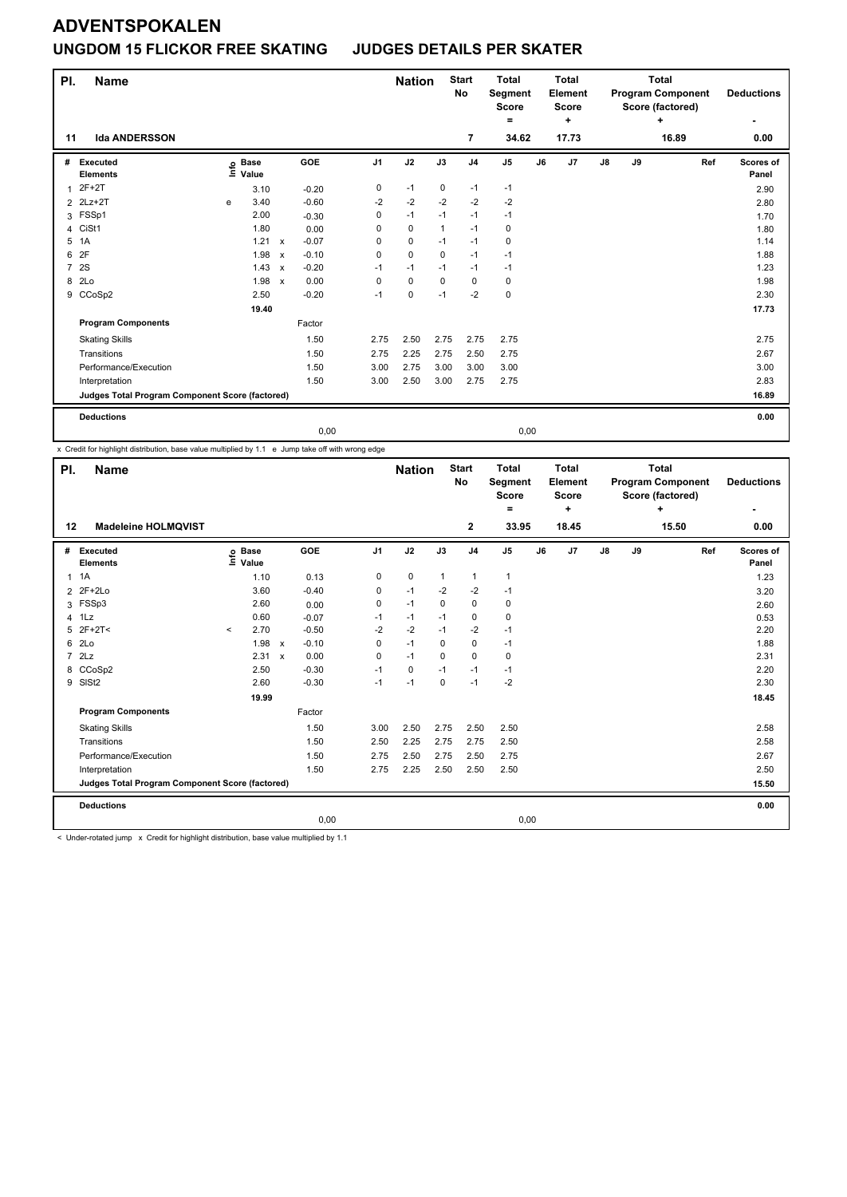### **UNGDOM 15 FLICKOR FREE SKATING JUDGES DETAILS PER SKATER**

| PI.            | <b>Name</b>                                     |      |                      |                           |            |                | <b>Nation</b> |          | <b>Start</b><br>No | <b>Total</b><br>Segment<br>Score |    | <b>Total</b><br>Element<br><b>Score</b> |               |    | <b>Total</b><br><b>Program Component</b><br>Score (factored) | <b>Deductions</b>  |
|----------------|-------------------------------------------------|------|----------------------|---------------------------|------------|----------------|---------------|----------|--------------------|----------------------------------|----|-----------------------------------------|---------------|----|--------------------------------------------------------------|--------------------|
|                |                                                 |      |                      |                           |            |                |               |          |                    | ۰                                |    | ÷                                       |               |    | ÷                                                            | ٠                  |
| 11             | <b>Ida ANDERSSON</b>                            |      |                      |                           |            |                |               |          | $\overline{7}$     | 34.62                            |    | 17.73                                   |               |    | 16.89                                                        | 0.00               |
| #              | Executed<br><b>Elements</b>                     | lnfo | <b>Base</b><br>Value |                           | <b>GOE</b> | J <sub>1</sub> | J2            | J3       | J <sub>4</sub>     | J <sub>5</sub>                   | J6 | J7                                      | $\mathsf{J}8$ | J9 | Ref                                                          | Scores of<br>Panel |
| 1              | $2F+2T$                                         |      | 3.10                 |                           | $-0.20$    | 0              | $-1$          | 0        | $-1$               | $-1$                             |    |                                         |               |    |                                                              | 2.90               |
|                | 2 2Lz+2T                                        | e    | 3.40                 |                           | $-0.60$    | $-2$           | $-2$          | $-2$     | $-2$               | $-2$                             |    |                                         |               |    |                                                              | 2.80               |
| 3              | FSSp1                                           |      | 2.00                 |                           | $-0.30$    | 0              | $-1$          | $-1$     | $-1$               | $-1$                             |    |                                         |               |    |                                                              | 1.70               |
| 4              | CiSt1                                           |      | 1.80                 |                           | 0.00       | 0              | $\mathbf 0$   | 1        | $-1$               | 0                                |    |                                         |               |    |                                                              | 1.80               |
| 5              | 1A                                              |      | 1.21                 | $\mathsf{x}$              | $-0.07$    | 0              | 0             | $-1$     | $-1$               | 0                                |    |                                         |               |    |                                                              | 1.14               |
| 6              | 2F                                              |      | 1.98                 | $\boldsymbol{\mathsf{x}}$ | $-0.10$    | 0              | $\mathbf 0$   | 0        | $-1$               | $-1$                             |    |                                         |               |    |                                                              | 1.88               |
| $\overline{7}$ | 2S                                              |      | 1.43                 | $\boldsymbol{\mathsf{x}}$ | $-0.20$    | $-1$           | $-1$          | $-1$     | $-1$               | $-1$                             |    |                                         |               |    |                                                              | 1.23               |
| 8              | 2Lo                                             |      | 1.98                 | $\boldsymbol{\mathsf{x}}$ | 0.00       | $\Omega$       | 0             | $\Omega$ | 0                  | 0                                |    |                                         |               |    |                                                              | 1.98               |
| 9              | CCoSp2                                          |      | 2.50                 |                           | $-0.20$    | $-1$           | $\pmb{0}$     | $-1$     | $-2$               | $\pmb{0}$                        |    |                                         |               |    |                                                              | 2.30               |
|                |                                                 |      | 19.40                |                           |            |                |               |          |                    |                                  |    |                                         |               |    |                                                              | 17.73              |
|                | <b>Program Components</b>                       |      |                      |                           | Factor     |                |               |          |                    |                                  |    |                                         |               |    |                                                              |                    |
|                | <b>Skating Skills</b>                           |      |                      |                           | 1.50       | 2.75           | 2.50          | 2.75     | 2.75               | 2.75                             |    |                                         |               |    |                                                              | 2.75               |
|                | Transitions                                     |      |                      |                           | 1.50       | 2.75           | 2.25          | 2.75     | 2.50               | 2.75                             |    |                                         |               |    |                                                              | 2.67               |
|                | Performance/Execution                           |      |                      |                           | 1.50       | 3.00           | 2.75          | 3.00     | 3.00               | 3.00                             |    |                                         |               |    |                                                              | 3.00               |
|                | Interpretation                                  |      |                      |                           | 1.50       | 3.00           | 2.50          | 3.00     | 2.75               | 2.75                             |    |                                         |               |    |                                                              | 2.83               |
|                | Judges Total Program Component Score (factored) |      |                      |                           |            |                |               |          |                    |                                  |    |                                         |               |    |                                                              | 16.89              |
|                | <b>Deductions</b>                               |      |                      |                           |            |                |               |          |                    |                                  |    |                                         |               |    |                                                              | 0.00               |
|                |                                                 |      |                      |                           | 0,00       |                |               |          |                    | 0,00                             |    |                                         |               |    |                                                              |                    |

x Credit for highlight distribution, base value multiplied by 1.1 e Jump take off with wrong edge

| PI.            | <b>Name</b>                                                                                                      |         |                            |              |         |                | <b>Nation</b> |              | <b>Start</b><br>No | <b>Total</b><br>Segment<br><b>Score</b><br>= |    | <b>Total</b><br>Element<br><b>Score</b><br>÷ |               |    | <b>Total</b><br><b>Program Component</b><br>Score (factored)<br>٠ |     | <b>Deductions</b>  |
|----------------|------------------------------------------------------------------------------------------------------------------|---------|----------------------------|--------------|---------|----------------|---------------|--------------|--------------------|----------------------------------------------|----|----------------------------------------------|---------------|----|-------------------------------------------------------------------|-----|--------------------|
| 12             | <b>Madeleine HOLMQVIST</b>                                                                                       |         |                            |              |         |                |               |              | $\mathbf{2}$       | 33.95                                        |    | 18.45                                        |               |    | 15.50                                                             |     | 0.00               |
| #              | Executed<br><b>Elements</b>                                                                                      |         | e Base<br>E Value<br>Value |              | GOE     | J <sub>1</sub> | J2            | J3           | J <sub>4</sub>     | $\mathsf{J}5$                                | J6 | J7                                           | $\mathsf{J}8$ | J9 |                                                                   | Ref | Scores of<br>Panel |
|                | $1 \t1A$                                                                                                         |         | 1.10                       |              | 0.13    | 0              | $\mathbf 0$   | $\mathbf{1}$ | $\mathbf{1}$       | $\mathbf{1}$                                 |    |                                              |               |    |                                                                   |     | 1.23               |
| $\overline{2}$ | 2F+2Lo                                                                                                           |         | 3.60                       |              | $-0.40$ | 0              | $-1$          | $-2$         | $-2$               | $-1$                                         |    |                                              |               |    |                                                                   |     | 3.20               |
|                | 3 FSSp3                                                                                                          |         | 2.60                       |              | 0.00    | 0              | $-1$          | 0            | 0                  | 0                                            |    |                                              |               |    |                                                                   |     | 2.60               |
|                | 4 1Lz                                                                                                            |         | 0.60                       |              | $-0.07$ | $-1$           | $-1$          | $-1$         | 0                  | 0                                            |    |                                              |               |    |                                                                   |     | 0.53               |
|                | $5$ 2F+2T<                                                                                                       | $\,<\,$ | 2.70                       |              | $-0.50$ | $-2$           | $-2$          | $-1$         | $-2$               | $-1$                                         |    |                                              |               |    |                                                                   |     | 2.20               |
|                | 6 2Lo                                                                                                            |         | 1.98                       | $\mathsf{x}$ | $-0.10$ | $\Omega$       | $-1$          | $\Omega$     | 0                  | $-1$                                         |    |                                              |               |    |                                                                   |     | 1.88               |
|                | 72Lz                                                                                                             |         | 2.31 x                     |              | 0.00    | 0              | $-1$          | 0            | $\mathbf 0$        | 0                                            |    |                                              |               |    |                                                                   |     | 2.31               |
| 8              | CCoSp2                                                                                                           |         | 2.50                       |              | $-0.30$ | $-1$           | 0             | $-1$         | $-1$               | $-1$                                         |    |                                              |               |    |                                                                   |     | 2.20               |
|                | 9 SISt2                                                                                                          |         | 2.60                       |              | $-0.30$ | $-1$           | $-1$          | $\mathbf 0$  | $-1$               | $-2$                                         |    |                                              |               |    |                                                                   |     | 2.30               |
|                |                                                                                                                  |         | 19.99                      |              |         |                |               |              |                    |                                              |    |                                              |               |    |                                                                   |     | 18.45              |
|                | <b>Program Components</b>                                                                                        |         |                            |              | Factor  |                |               |              |                    |                                              |    |                                              |               |    |                                                                   |     |                    |
|                | <b>Skating Skills</b>                                                                                            |         |                            |              | 1.50    | 3.00           | 2.50          | 2.75         | 2.50               | 2.50                                         |    |                                              |               |    |                                                                   |     | 2.58               |
|                | Transitions                                                                                                      |         |                            |              | 1.50    | 2.50           | 2.25          | 2.75         | 2.75               | 2.50                                         |    |                                              |               |    |                                                                   |     | 2.58               |
|                | Performance/Execution                                                                                            |         |                            |              | 1.50    | 2.75           | 2.50          | 2.75         | 2.50               | 2.75                                         |    |                                              |               |    |                                                                   |     | 2.67               |
|                | Interpretation                                                                                                   |         |                            |              | 1.50    | 2.75           | 2.25          | 2.50         | 2.50               | 2.50                                         |    |                                              |               |    |                                                                   |     | 2.50               |
|                | Judges Total Program Component Score (factored)                                                                  |         |                            |              |         |                |               |              |                    |                                              |    |                                              |               |    |                                                                   |     | 15.50              |
|                | <b>Deductions</b>                                                                                                |         |                            |              |         |                |               |              |                    |                                              |    |                                              |               |    |                                                                   |     | 0.00               |
|                |                                                                                                                  |         |                            |              | 0,00    |                |               |              |                    | 0,00                                         |    |                                              |               |    |                                                                   |     |                    |
|                | a minister concernant company of Accountable accountable attending the contract control accountable and contract |         |                            |              |         |                |               |              |                    |                                              |    |                                              |               |    |                                                                   |     |                    |

r-rotated jump x Credit for highlight distribution, base value multiplied by 1.1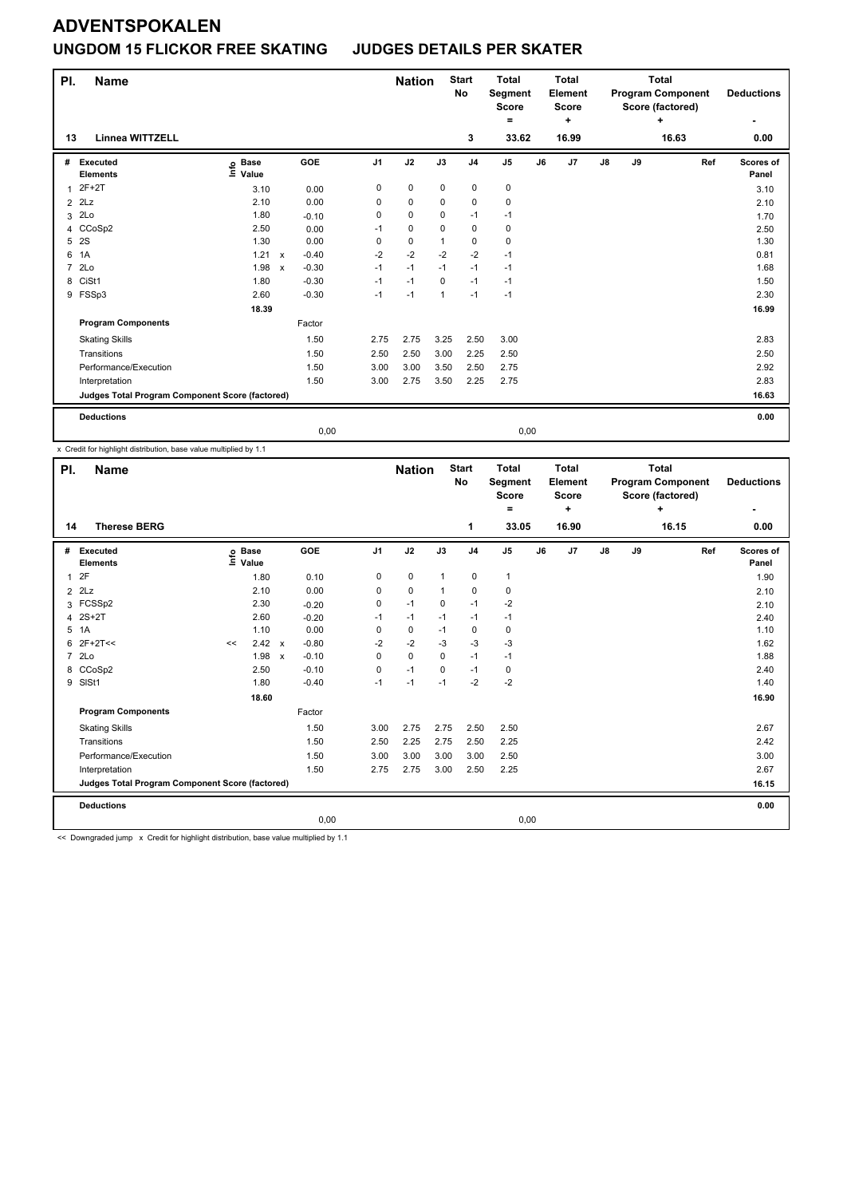### **UNGDOM 15 FLICKOR FREE SKATING JUDGES DETAILS PER SKATER**

| PI.            | <b>Name</b>                                     |                                   |              |            |                | <b>Nation</b> |                | <b>Start</b><br><b>No</b> | <b>Total</b><br>Segment<br><b>Score</b><br>۰ |    | <b>Total</b><br><b>Element</b><br><b>Score</b><br>÷ | <b>Total</b><br><b>Program Component</b><br>Score (factored)<br>÷ |    |       | <b>Deductions</b>  |
|----------------|-------------------------------------------------|-----------------------------------|--------------|------------|----------------|---------------|----------------|---------------------------|----------------------------------------------|----|-----------------------------------------------------|-------------------------------------------------------------------|----|-------|--------------------|
| 13             | <b>Linnea WITTZELL</b>                          |                                   |              |            |                |               |                | 3                         | 33.62                                        |    | 16.99                                               |                                                                   |    | 16.63 | 0.00               |
| #              | Executed<br><b>Elements</b>                     | <b>Base</b><br>ຼe Base<br>⊑ Value |              | <b>GOE</b> | J <sub>1</sub> | J2            | J3             | J <sub>4</sub>            | J <sub>5</sub>                               | J6 | J <sub>7</sub>                                      | J8                                                                | J9 | Ref   | Scores of<br>Panel |
| 1              | $2F+2T$                                         | 3.10                              |              | 0.00       | 0              | $\mathbf 0$   | $\mathbf 0$    | $\mathbf 0$               | 0                                            |    |                                                     |                                                                   |    |       | 3.10               |
|                | $2$ $2Lz$                                       | 2.10                              |              | 0.00       | 0              | $\mathbf 0$   | 0              | $\mathbf 0$               | 0                                            |    |                                                     |                                                                   |    |       | 2.10               |
| 3              | 2Lo                                             | 1.80                              |              | $-0.10$    | 0              | $\mathbf 0$   | $\Omega$       | $-1$                      | $-1$                                         |    |                                                     |                                                                   |    |       | 1.70               |
| $\overline{4}$ | CCoSp2                                          | 2.50                              |              | 0.00       | $-1$           | $\mathbf 0$   | $\Omega$       | $\mathbf 0$               | 0                                            |    |                                                     |                                                                   |    |       | 2.50               |
| 5              | 2S                                              | 1.30                              |              | 0.00       | 0              | 0             | 1              | 0                         | $\mathbf 0$                                  |    |                                                     |                                                                   |    |       | 1.30               |
| 6              | 1A                                              | 1.21                              | $\mathsf{x}$ | $-0.40$    | $-2$           | $-2$          | $-2$           | $-2$                      | $-1$                                         |    |                                                     |                                                                   |    |       | 0.81               |
| $\overline{7}$ | 2 <sub>LO</sub>                                 | 1.98                              | $\mathsf{x}$ | $-0.30$    | $-1$           | $-1$          | $-1$           | $-1$                      | $-1$                                         |    |                                                     |                                                                   |    |       | 1.68               |
| 8              | CiSt1                                           | 1.80                              |              | $-0.30$    | $-1$           | $-1$          | $\mathbf 0$    | $-1$                      | $-1$                                         |    |                                                     |                                                                   |    |       | 1.50               |
|                | 9 FSSp3                                         | 2.60                              |              | $-0.30$    | $-1$           | $-1$          | $\overline{1}$ | $-1$                      | $-1$                                         |    |                                                     |                                                                   |    |       | 2.30               |
|                |                                                 | 18.39                             |              |            |                |               |                |                           |                                              |    |                                                     |                                                                   |    |       | 16.99              |
|                | <b>Program Components</b>                       |                                   |              | Factor     |                |               |                |                           |                                              |    |                                                     |                                                                   |    |       |                    |
|                | <b>Skating Skills</b>                           |                                   |              | 1.50       | 2.75           | 2.75          | 3.25           | 2.50                      | 3.00                                         |    |                                                     |                                                                   |    |       | 2.83               |
|                | Transitions                                     |                                   |              | 1.50       | 2.50           | 2.50          | 3.00           | 2.25                      | 2.50                                         |    |                                                     |                                                                   |    |       | 2.50               |
|                | Performance/Execution                           |                                   |              | 1.50       | 3.00           | 3.00          | 3.50           | 2.50                      | 2.75                                         |    |                                                     |                                                                   |    |       | 2.92               |
|                | Interpretation                                  |                                   |              | 1.50       | 3.00           | 2.75          | 3.50           | 2.25                      | 2.75                                         |    |                                                     |                                                                   |    |       | 2.83               |
|                | Judges Total Program Component Score (factored) |                                   |              |            |                |               |                |                           |                                              |    |                                                     |                                                                   |    | 16.63 |                    |
|                | <b>Deductions</b>                               |                                   |              |            |                |               |                |                           |                                              |    |                                                     |                                                                   |    |       | 0.00               |
|                |                                                 |                                   |              | 0,00       |                |               |                |                           | 0,00                                         |    |                                                     |                                                                   |    |       |                    |

x Credit for highlight distribution, base value multiplied by 1.1

| PI.                                             | <b>Name</b>                   |        |                      |  |         |                | <b>Nation</b> |              | <b>Start</b><br><b>No</b> | <b>Total</b><br><b>Segment</b><br><b>Score</b><br>٠ |    | <b>Total</b><br>Element<br><b>Score</b><br>÷ |               |    | <b>Total</b><br><b>Program Component</b><br>Score (factored)<br>÷ |     | <b>Deductions</b>  |
|-------------------------------------------------|-------------------------------|--------|----------------------|--|---------|----------------|---------------|--------------|---------------------------|-----------------------------------------------------|----|----------------------------------------------|---------------|----|-------------------------------------------------------------------|-----|--------------------|
| 14                                              | <b>Therese BERG</b>           |        |                      |  |         |                |               |              | 1                         | 33.05                                               |    | 16.90                                        |               |    | 16.15                                                             |     | 0.00               |
|                                                 | # Executed<br><b>Elements</b> | ۴      | <b>Base</b><br>Value |  | GOE     | J <sub>1</sub> | J2            | J3           | J <sub>4</sub>            | J <sub>5</sub>                                      | J6 | J7                                           | $\mathsf{J}8$ | J9 |                                                                   | Ref | Scores of<br>Panel |
| $\mathbf{1}$                                    | 2F                            |        | 1.80                 |  | 0.10    | 0              | 0             | $\mathbf{1}$ | $\mathbf 0$               | 1                                                   |    |                                              |               |    |                                                                   |     | 1.90               |
| $\overline{2}$                                  | 2Lz                           |        | 2.10                 |  | 0.00    | 0              | 0             | $\mathbf{1}$ | $\mathbf 0$               | 0                                                   |    |                                              |               |    |                                                                   |     | 2.10               |
|                                                 | 3 FCSSp2                      |        | 2.30                 |  | $-0.20$ | 0              | $-1$          | $\Omega$     | $-1$                      | $-2$                                                |    |                                              |               |    |                                                                   |     | 2.10               |
|                                                 | 4 2S+2T                       |        | 2.60                 |  | $-0.20$ | $-1$           | $-1$          | $-1$         | $-1$                      | $-1$                                                |    |                                              |               |    |                                                                   |     | 2.40               |
|                                                 | 5 1A                          |        | 1.10                 |  | 0.00    | 0              | 0             | $-1$         | 0                         | 0                                                   |    |                                              |               |    |                                                                   |     | 1.10               |
| 6                                               | $2F+2T<<$                     | <<     | $2.42 \times$        |  | $-0.80$ | $-2$           | $-2$          | $-3$         | $-3$                      | $-3$                                                |    |                                              |               |    |                                                                   |     | 1.62               |
|                                                 | 7 2Lo                         |        | 1.98 x               |  | $-0.10$ | 0              | 0             | 0            | $-1$                      | $-1$                                                |    |                                              |               |    |                                                                   |     | 1.88               |
|                                                 | 8 CCoSp2                      |        | 2.50                 |  | $-0.10$ | 0              | $-1$          | $\Omega$     | $-1$                      | 0                                                   |    |                                              |               |    |                                                                   |     | 2.40               |
|                                                 | 9 SISt1                       |        | 1.80                 |  | $-0.40$ | $-1$           | $-1$          | $-1$         | $-2$                      | $-2$                                                |    |                                              |               |    |                                                                   |     | 1.40               |
|                                                 |                               |        | 18.60                |  |         |                |               |              |                           |                                                     |    |                                              |               |    |                                                                   |     | 16.90              |
|                                                 | <b>Program Components</b>     | Factor |                      |  |         |                |               |              |                           |                                                     |    |                                              |               |    |                                                                   |     |                    |
|                                                 | <b>Skating Skills</b>         |        |                      |  | 1.50    | 3.00           | 2.75          | 2.75         | 2.50                      | 2.50                                                |    |                                              |               |    |                                                                   |     | 2.67               |
|                                                 | Transitions                   |        |                      |  | 1.50    | 2.50           | 2.25          | 2.75         | 2.50                      | 2.25                                                |    |                                              |               |    |                                                                   |     | 2.42               |
|                                                 | Performance/Execution         |        |                      |  | 1.50    | 3.00           | 3.00          | 3.00         | 3.00                      | 2.50                                                |    |                                              |               |    |                                                                   |     | 3.00               |
|                                                 | Interpretation                |        |                      |  | 1.50    | 2.75           | 2.75          | 3.00         | 2.50                      | 2.25                                                |    |                                              |               |    |                                                                   |     | 2.67               |
| Judges Total Program Component Score (factored) |                               |        |                      |  |         |                |               |              |                           |                                                     |    |                                              | 16.15         |    |                                                                   |     |                    |
|                                                 | <b>Deductions</b>             |        |                      |  |         |                |               |              |                           |                                                     |    |                                              |               |    |                                                                   |     | 0.00               |
|                                                 |                               |        |                      |  | 0,00    |                |               |              |                           | 0,00                                                |    |                                              |               |    |                                                                   |     |                    |
|                                                 |                               |        |                      |  |         |                |               |              |                           |                                                     |    |                                              |               |    |                                                                   |     |                    |

<< Downgraded jump x Credit for highlight distribution, base value multiplied by 1.1